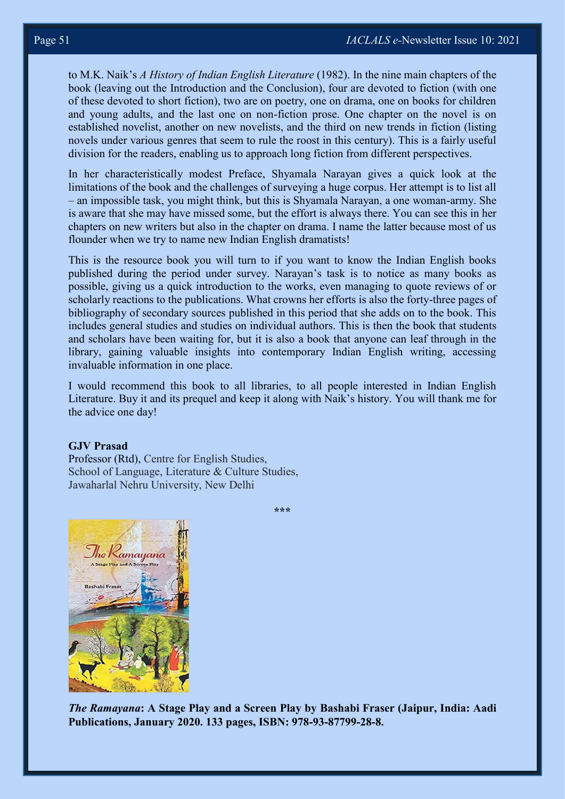to M.K. Naik's *A History of Indian English Literature* (1982). In the nine main chapters of the book (leaving out the Introduction and the Conclusion), four are devoted to fiction (with one of these devoted to short fiction), two are on poetry, one on drama, one on books for children and young adults, and the last one on non-fiction prose. One chapter on the novel is on established novelist, another on new novelists, and the third on new trends in fiction (listing novels under various genres that seem to rule the roost in this century). This is a fairly useful division for the readers, enabling us to approach long fiction from different perspectives.

In her characteristically modest Preface, Shyamala Narayan gives a quick look at the limitations of the book and the challenges of surveying a huge corpus. Her attempt is to list all – an impossible task, you might think, but this is Shyamala Narayan, a one woman-army. She is aware that she may have missed some, but the effort is always there. You can see this in her chapters on new writers but also in the chapter on drama. I name the latter because most of us flounder when we try to name new Indian English dramatists!

This is the resource book you will turn to if you want to know the Indian English books published during the period under survey. Narayan's task is to notice as many books as possible, giving us a quick introduction to the works, even managing to quote reviews of or scholarly reactions to the publications. What crowns her efforts is also the forty-three pages of bibliography of secondary sources published in this period that she adds on to the book. This includes general studies and studies on individual authors. This is then the book that students and scholars have been waiting for, but it is also a book that anyone can leaf through in the library, gaining valuable insights into contemporary Indian English writing, accessing invaluable information in one place.

I would recommend this book to all libraries, to all people interested in Indian English Literature. Buy it and its prequel and keep it along with Naik's history. You will thank me for the advice one day!

**\*\*\***

## **GJV Prasad**

Professor (Rtd), Centre for English Studies, School of Language, Literature & Culture Studies, Jawaharlal Nehru University, New Delhi



*The Ramayana***: A Stage Play and a Screen Play by Bashabi Fraser (Jaipur, India: Aadi Publications, January 2020. 133 pages, ISBN: 978-93-87799-28-8.**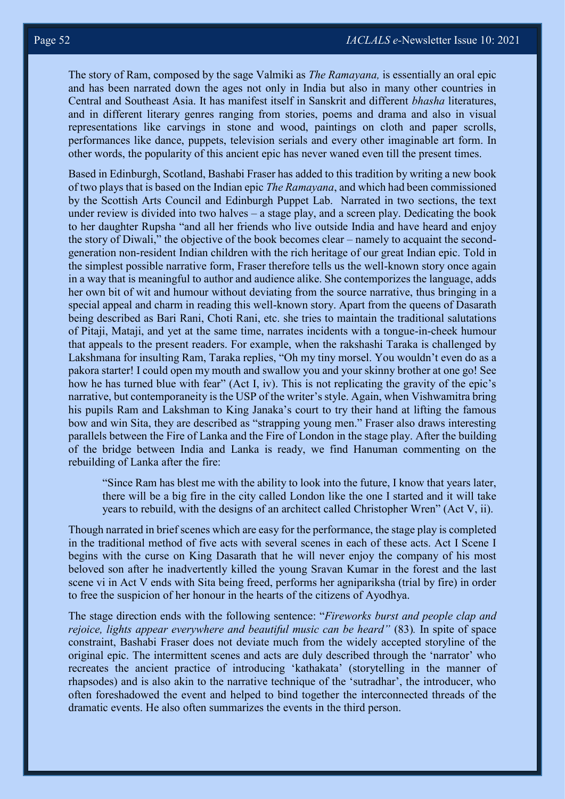The story of Ram, composed by the sage Valmiki as *The Ramayana,* is essentially an oral epic and has been narrated down the ages not only in India but also in many other countries in Central and Southeast Asia. It has manifest itself in Sanskrit and different *bhasha* literatures, and in different literary genres ranging from stories, poems and drama and also in visual representations like carvings in stone and wood, paintings on cloth and paper scrolls, performances like dance, puppets, television serials and every other imaginable art form. In other words, the popularity of this ancient epic has never waned even till the present times.

Based in Edinburgh, Scotland, Bashabi Fraser has added to this tradition by writing a new book of two plays that is based on the Indian epic *The Ramayana*, and which had been commissioned by the Scottish Arts Council and Edinburgh Puppet Lab. Narrated in two sections, the text under review is divided into two halves – a stage play, and a screen play. Dedicating the book to her daughter Rupsha "and all her friends who live outside India and have heard and enjoy the story of Diwali," the objective of the book becomes clear – namely to acquaint the secondgeneration non-resident Indian children with the rich heritage of our great Indian epic. Told in the simplest possible narrative form, Fraser therefore tells us the well-known story once again in a way that is meaningful to author and audience alike. She contemporizes the language, adds her own bit of wit and humour without deviating from the source narrative, thus bringing in a special appeal and charm in reading this well-known story. Apart from the queens of Dasarath being described as Bari Rani, Choti Rani, etc. she tries to maintain the traditional salutations of Pitaji, Mataji, and yet at the same time, narrates incidents with a tongue-in-cheek humour that appeals to the present readers. For example, when the rakshashi Taraka is challenged by Lakshmana for insulting Ram, Taraka replies, "Oh my tiny morsel. You wouldn't even do as a pakora starter! I could open my mouth and swallow you and your skinny brother at one go! See how he has turned blue with fear" (Act I, iv). This is not replicating the gravity of the epic's narrative, but contemporaneity is the USP of the writer's style. Again, when Vishwamitra bring his pupils Ram and Lakshman to King Janaka's court to try their hand at lifting the famous bow and win Sita, they are described as "strapping young men." Fraser also draws interesting parallels between the Fire of Lanka and the Fire of London in the stage play. After the building of the bridge between India and Lanka is ready, we find Hanuman commenting on the rebuilding of Lanka after the fire:

"Since Ram has blest me with the ability to look into the future, I know that years later, there will be a big fire in the city called London like the one I started and it will take years to rebuild, with the designs of an architect called Christopher Wren" (Act V, ii).

Though narrated in brief scenes which are easy for the performance, the stage play is completed in the traditional method of five acts with several scenes in each of these acts. Act I Scene I begins with the curse on King Dasarath that he will never enjoy the company of his most beloved son after he inadvertently killed the young Sravan Kumar in the forest and the last scene vi in Act V ends with Sita being freed, performs her agnipariksha (trial by fire) in order to free the suspicion of her honour in the hearts of the citizens of Ayodhya.

The stage direction ends with the following sentence: "*Fireworks burst and people clap and rejoice, lights appear everywhere and beautiful music can be heard"* (83)*.* In spite of space constraint, Bashabi Fraser does not deviate much from the widely accepted storyline of the original epic. The intermittent scenes and acts are duly described through the 'narrator' who recreates the ancient practice of introducing 'kathakata' (storytelling in the manner of rhapsodes) and is also akin to the narrative technique of the 'sutradhar', the introducer, who often foreshadowed the event and helped to bind together the interconnected threads of the dramatic events. He also often summarizes the events in the third person.